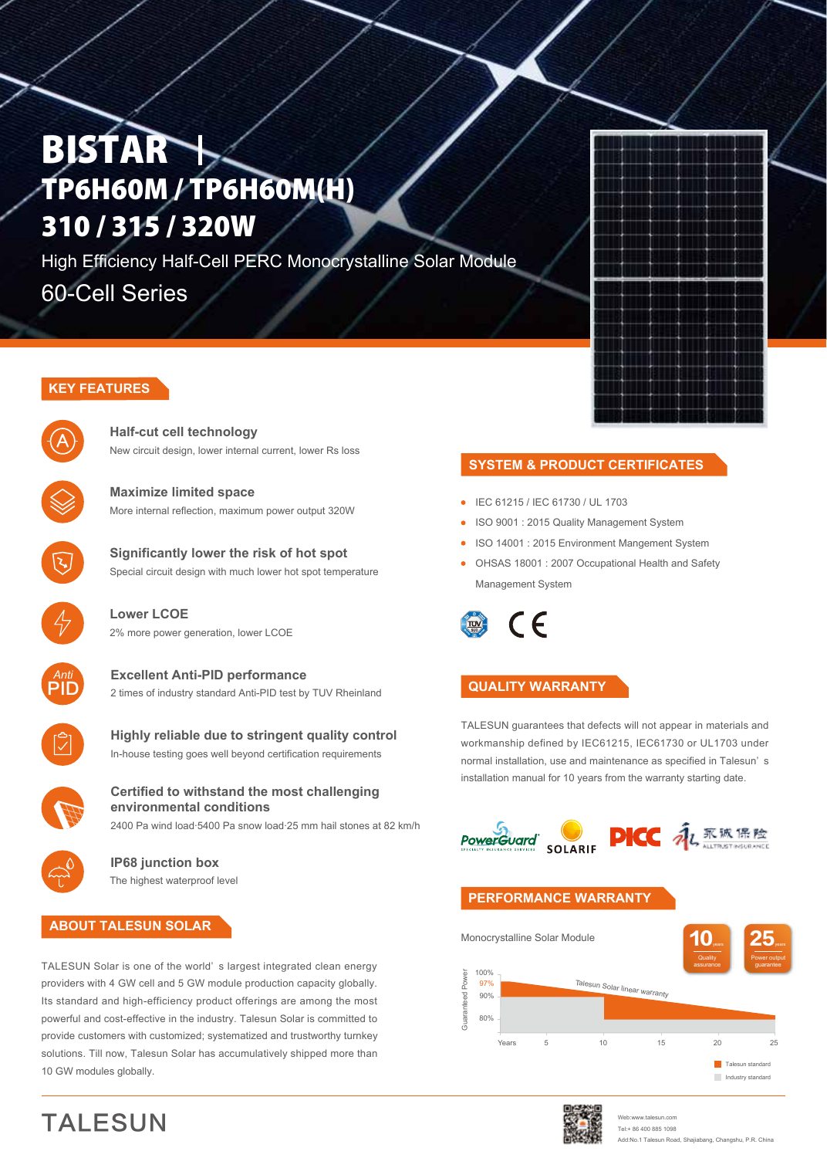# **BISTAR** TP6H60M / TP6H60M(H) 310 / 315 / 320W

High Efficiency Half-Cell PERC Monocrystalline Solar Module 60-Cell Series

# **KEY FEATURES**



**Half-cut cell technology**  New circuit design, lower internal current, lower Rs loss



**Maximize limited space** More internal reflection, maximum power output 320W



**Significantly lower the risk of hot spot** Special circuit design with much lower hot spot temperature



**Lower LCOE** 2% more power generation, lower LCOE



**Excellent Anti-PID performance** 2 times of industry standard Anti-PID test by TUV Rheinland



**Highly reliable due to stringent quality control** In-house testing goes well beyond certification requirements



#### **Certified to withstand the most challenging environmental conditions**

2400 Pa wind load·5400 Pa snow load·25 mm hail stones at 82 km/h



**IP68 junction box** The highest waterproof level

### **ABOUT TALESUN SOLAR**

TALESUN

TALESUN Solar is one of the world' s largest integrated clean energy providers with 4 GW cell and 5 GW module production capacity globally. Its standard and high-efficiency product offerings are among the most powerful and cost-effective in the industry. Talesun Solar is committed to provide customers with customized; systematized and trustworthy turnkey solutions. Till now, Talesun Solar has accumulatively shipped more than 10 GW modules globally.

## **SYSTEM & PRODUCT CERTIFICATES**

- IEC 61215 / IEC 61730 / UL 1703
- **ISO 9001 : 2015 Quality Management System**
- ISO 14001 : 2015 Environment Mangement System
- OHSAS 18001 : 2007 Occupational Health and Safety Management System

 $\epsilon$ 

### **QUALITY WARRANTY**

TALESUN guarantees that defects will not appear in materials and workmanship defined by IEC61215, IEC61730 or UL1703 under normal installation, use and maintenance as specified in Talesun' s installation manual for 10 years from the warranty starting date.